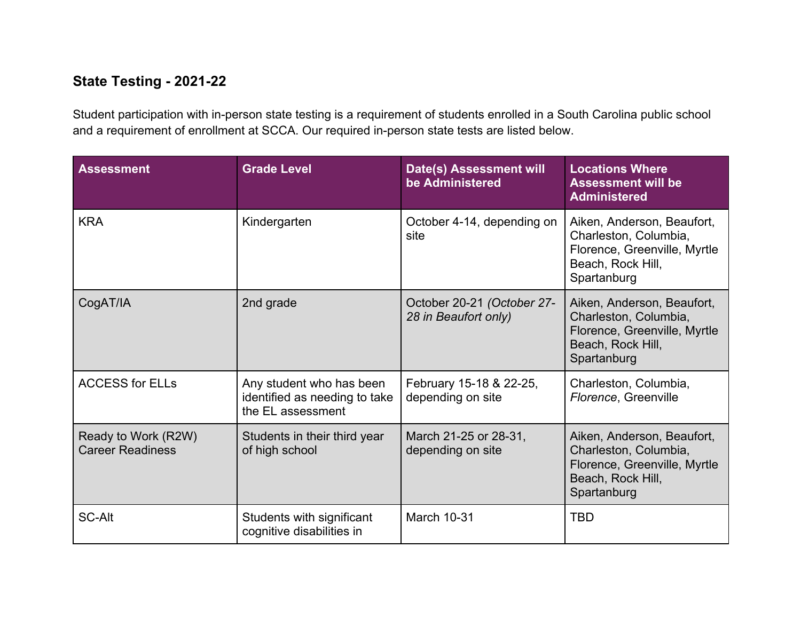## **State Testing - 2021-22**

Student participation with in-person state testing is a requirement of students enrolled in a South Carolina public school and a requirement of enrollment at SCCA. Our required in-person state tests are listed below.

| <b>Assessment</b>                              | <b>Grade Level</b>                                                             | <b>Date(s) Assessment will</b><br>be Administered  | <b>Locations Where</b><br><b>Assessment will be</b><br><b>Administered</b>                                              |
|------------------------------------------------|--------------------------------------------------------------------------------|----------------------------------------------------|-------------------------------------------------------------------------------------------------------------------------|
| <b>KRA</b>                                     | Kindergarten                                                                   | October 4-14, depending on<br>site                 | Aiken, Anderson, Beaufort,<br>Charleston, Columbia,<br>Florence, Greenville, Myrtle<br>Beach, Rock Hill,<br>Spartanburg |
| CogAT/IA                                       | 2nd grade                                                                      | October 20-21 (October 27-<br>28 in Beaufort only) | Aiken, Anderson, Beaufort,<br>Charleston, Columbia,<br>Florence, Greenville, Myrtle<br>Beach, Rock Hill,<br>Spartanburg |
| <b>ACCESS for ELLs</b>                         | Any student who has been<br>identified as needing to take<br>the EL assessment | February 15-18 & 22-25,<br>depending on site       | Charleston, Columbia,<br>Florence, Greenville                                                                           |
| Ready to Work (R2W)<br><b>Career Readiness</b> | Students in their third year<br>of high school                                 | March 21-25 or 28-31,<br>depending on site         | Aiken, Anderson, Beaufort,<br>Charleston, Columbia,<br>Florence, Greenville, Myrtle<br>Beach, Rock Hill,<br>Spartanburg |
| <b>SC-Alt</b>                                  | Students with significant<br>cognitive disabilities in                         | <b>March 10-31</b>                                 | <b>TBD</b>                                                                                                              |